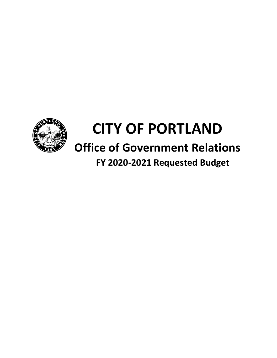

# **CITY OF PORTLAND**

**Office of Government Relations**

**FY 2020-2021 Requested Budget**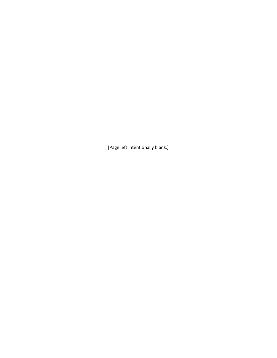[Page left intentionally blank.]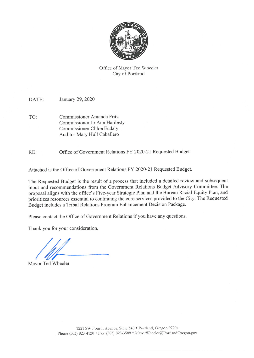

#### Office of Mayor Ted Wheeler City of Portland

DATE: January 29, 2020

TO: Commissioner Amanda Fritz Commissioner Jo Ann Hardesty **Commissioner Chloe Eudaly** Auditor Mary Hull Caballero

RE: Office of Government Relations FY 2020-21 Requested Budget

Attached is the Office of Government Relations FY 2020-21 Requested Budget.

The Requested Budget is the result of a process that included a detailed review and subsequent input and recommendations from the Government Relations Budget Advisory Committee. The proposal aligns with the office's Five-year Strategic Plan and the Bureau Racial Equity Plan, and prioritizes resources essential to continuing the core services provided to the City. The Requested Budget includes a Tribal Relations Program Enhancement Decision Package.

Please contact the Office of Government Relations if you have any questions.

Thank you for your consideration.

Mayor Ted Wheeler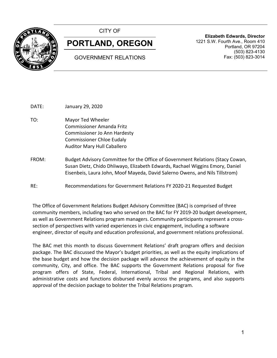

CITY OF

# **PORTLAND, OREGON**

GOVERNMENT RELATIONS

**Elizabeth Edwards, Director** 1221 S.W. Fourth Ave., Room 410 Portland, OR 97204 (503) 823-4130 Fax: (503) 823-3014

DATE: January 29, 2020

- TO: Mayor Ted Wheeler Commissioner Amanda Fritz Commissioner Jo Ann Hardesty Commissioner Chloe Eudaly Auditor Mary Hull Caballero
- FROM: Budget Advisory Committee for the Office of Government Relations (Stacy Cowan, Susan Dietz, Chido Dhliwayo, Elizabeth Edwards, Rachael Wiggins Emory, Daniel Eisenbeis, Laura John, Moof Mayeda, David Salerno Owens, and Nils Tillstrom)
- RE: Recommendations for Government Relations FY 2020-21 Requested Budget

The Office of Government Relations Budget Advisory Committee (BAC) is comprised of three community members, including two who served on the BAC for FY 2019-20 budget development, as well as Government Relations program managers. Community participants represent a crosssection of perspectives with varied experiences in civic engagement, including a software engineer, director of equity and education professional, and government relations professional.

The BAC met this month to discuss Government Relations' draft program offers and decision package. The BAC discussed the Mayor's budget priorities, as well as the equity implications of the base budget and how the decision package will advance the achievement of equity in the community, City, and office. The BAC supports the Government Relations proposal for five program offers of State, Federal, International, Tribal and Regional Relations, with administrative costs and functions disbursed evenly across the programs, and also supports approval of the decision package to bolster the Tribal Relations program.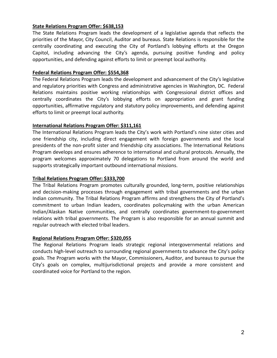#### **State Relations Program Offer: \$638,153**

The State Relations Program leads the development of a legislative agenda that reflects the priorities of the Mayor, City Council, Auditor and bureaus. State Relations is responsible for the centrally coordinating and executing the City of Portland's lobbying efforts at the Oregon Capitol, including advancing the City's agenda, pursuing positive funding and policy opportunities, and defending against efforts to limit or preempt local authority.

#### **Federal Relations Program Offer: \$554,368**

The Federal Relations Program leads the development and advancement of the City's legislative and regulatory priorities with Congress and administrative agencies in Washington, DC. Federal Relations maintains positive working relationships with Congressional district offices and centrally coordinates the City's lobbying efforts on appropriation and grant funding opportunities, affirmative regulatory and statutory policy improvements, and defending against efforts to limit or preempt local authority.

#### **International Relations Program Offer: \$311,161**

The International Relations Program leads the City's work with Portland's nine sister cities and one friendship city, including direct engagement with foreign governments and the local presidents of the non-profit sister and friendship city associations. The International Relations Program develops and ensures adherence to international and cultural protocols. Annually, the program welcomes approximately 70 delegations to Portland from around the world and supports strategically important outbound international missions.

#### **Tribal Relations Program Offer: \$333,700**

The Tribal Relations Program promotes culturally grounded, long-term, positive relationships and decision-making processes through engagement with tribal governments and the urban Indian community. The Tribal Relations Program affirms and strengthens the City of Portland's commitment to urban Indian leaders, coordinates policymaking with the urban American Indian/Alaskan Native communities, and centrally coordinates government-to-government relations with tribal governments. The Program is also responsible for an annual summit and regular outreach with elected tribal leaders.

#### **Regional Relations Program Offer: \$320,055**

The Regional Relations Program leads strategic regional intergovernmental relations and conducts high-level outreach to surrounding regional governments to advance the City's policy goals. The Program works with the Mayor, Commissioners, Auditor, and bureaus to pursue the City's goals on complex, multijurisdictional projects and provide a more consistent and coordinated voice for Portland to the region.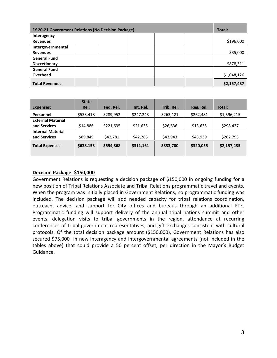| FY 20-21 Government Relations (No Decision Package) |              |           |           |            |           |             |  |
|-----------------------------------------------------|--------------|-----------|-----------|------------|-----------|-------------|--|
| Interagency                                         |              |           |           |            |           |             |  |
| <b>Revenues</b>                                     |              |           |           |            |           | \$196,000   |  |
| Intergovernmental                                   |              |           |           |            |           |             |  |
| <b>Revenues</b>                                     |              |           |           |            |           | \$35,000    |  |
| <b>General Fund</b>                                 |              |           |           |            |           |             |  |
| <b>Discretionary</b>                                |              |           |           |            |           | \$878,311   |  |
| <b>General Fund</b>                                 |              |           |           |            |           |             |  |
| Overhead                                            |              |           |           |            |           | \$1,048,126 |  |
| <b>Total Revenues:</b>                              |              |           |           |            |           | \$2,157,437 |  |
|                                                     |              |           |           |            |           |             |  |
|                                                     | <b>State</b> |           |           |            |           |             |  |
| <b>Expenses:</b>                                    | Rel.         | Fed. Rel. | Int. Rel. | Trib. Rel. | Reg. Rel. | Total:      |  |
| Personnel                                           | \$533,418    | \$289,952 | \$247,243 | \$263,121  | \$262,481 | \$1,596,215 |  |
| <b>External Material</b>                            |              |           |           |            |           |             |  |
| and Services                                        | \$14,886     | \$221,635 | \$21,635  | \$26,636   | \$13,635  | \$298,427   |  |
| <b>Internal Material</b>                            |              |           |           |            |           |             |  |
| and Services                                        | \$89,849     | \$42,781  | \$42,283  | \$43,943   | \$43,939  | \$262,793   |  |
| <b>Total Expenses:</b>                              | \$638,153    | \$554,368 | \$311,161 | \$333,700  | \$320,055 | \$2,157,435 |  |

#### **Decision Package: \$150,000**

Government Relations is requesting a decision package of \$150,000 in ongoing funding for a new position of Tribal Relations Associate and Tribal Relations programmatic travel and events. When the program was initially placed in Government Relations, no programmatic funding was included. The decision package will add needed capacity for tribal relations coordination, outreach, advice, and support for City offices and bureaus through an additional FTE. Programmatic funding will support delivery of the annual tribal nations summit and other events, delegation visits to tribal governments in the region, attendance at recurring conferences of tribal government representatives, and gift exchanges consistent with cultural protocols. Of the total decision package amount (\$150,000), Government Relations has also secured \$75,000 in new interagency and intergovernmental agreements (not included in the tables above) that could provide a 50 percent offset, per direction in the Mayor's Budget Guidance.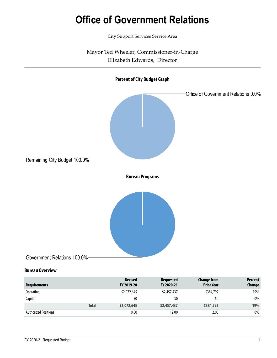# **Office of Government Relations**

City Support Services Service Area

Mayor Ted Wheeler, Commissioner-in-Charge Elizabeth Edwards, Director



#### **Bureau Overview**

| Requirements                |              | <b>Revised</b><br>FY 2019-20 | <b>Requested</b><br>FY 2020-21 | <b>Change from</b><br><b>Prior Year</b> | <b>Percent</b><br>Change |
|-----------------------------|--------------|------------------------------|--------------------------------|-----------------------------------------|--------------------------|
| <b>Operating</b>            |              | \$2,072,645                  | \$2,457,437                    | \$384,792                               | 19%                      |
| Capital                     |              | \$0                          | \$0                            | \$0                                     | 0%                       |
|                             | <b>Total</b> | \$2,072,645                  | \$2,457,437                    | \$384,792                               | 19%                      |
| <b>Authorized Positions</b> |              | 10.00                        | 12.00                          | 2.00                                    | 0%                       |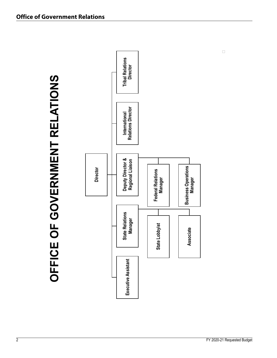

 $\Box$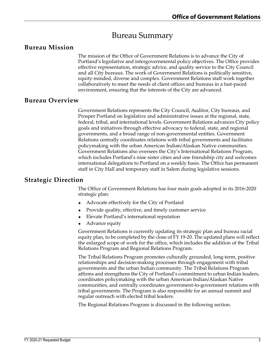# Bureau Summary

# **Bureau Mission**

The mission of the Office of Government Relations is to advance the City of Portland's legislative and intergovernmental policy objectives. The Office provides effective representation, strategic advice, and quality service to the City Council and all City bureaus. The work of Government Relations is politically sensitive, equity-minded, diverse and complex. Government Relations staff work together collaboratively to meet the needs of client offices and bureaus in a fast-paced environment, ensuring that the interests of the City are advanced.

## **Bureau Overview**

Government Relations represents the City Council, Auditor, City bureaus, and Prosper Portland on legislative and administrative issues at the regional, state, federal, tribal, and international levels. Government Relations advances City policy goals and initiatives through effective advocacy to federal, state, and regional governments, and a broad range of non-governmental entities. Government Relations centrally coordinates relations with tribal governments and facilitates policymaking with the urban American Indian/Alaskan Native communities. Government Relations also oversees the City's International Relations Program, which includes Portland's nine sister cities and one friendship city and welcomes international delegations to Portland on a weekly basis. The Office has permanent staff in City Hall and temporary staff in Salem during legislative sessions.

# **Strategic Direction**

The Office of Government Relations has four main goals adopted in its 2016-2020 strategic plan:

- Advocate effectively for the City of Portland
- Provide quality, effective, and timely customer service
- Elevate Portland's international reputation
- Advance equity

Government Relations is currently updating its strategic plan and bureau racial equity plan, to be completed by the close of FY 19-20. The updated plans will reflect the enlarged scope of work for the office, which includes the addition of the Tribal Relations Program and Regional Relations Program.

The Tribal Relations Program promotes culturally grounded, long-term, positive relationships and decision-making processes through engagement with tribal governments and the urban Indian community. The Tribal Relations Program affirms and strengthens the City of Portland's commitment to urban Indian leaders, coordinates policymaking with the urban American Indian/Alaskan Native communities, and centrally coordinates government-to-government relations with tribal governments. The Program is also responsible for an annual summit and regular outreach with elected tribal leaders.

The Regional Relations Program is discussed in the following section.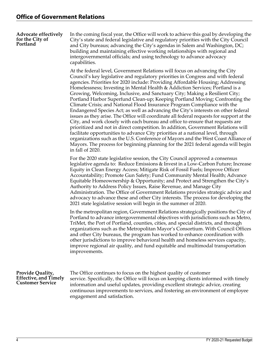**Advocate effectively for the City of Portland**

In the coming fiscal year, the Office will work to achieve this goal by developing the City's state and federal legislative and regulatory priorities with the City Council and City bureaus; advancing the City's agendas in Salem and Washington, DC; building and maintaining effective working relationships with regional and intergovernmental officials; and using technology to advance advocacy capabilities.

At the federal level, Government Relations will focus on advancing the City Council's key legislative and regulatory priorities in Congress and with federal agencies. Priorities for 2020 include: Providing Affordable Housing; Addressing Homelessness; Investing in Mental Health & Addiction Services; Portland is a Growing, Welcoming, Inclusive, and Sanctuary City; Making a Resilient City; Portland Harbor Superfund Clean-up; Keeping Portland Moving; Confronting the Climate Crisis; and National Flood Insurance Program Compliance with the Endangered Species Act; as well as advancing the City's interests on other federal issues as they arise. The Office will coordinate all federal requests for support at the City, and work closely with each bureau and office to ensure that requests are prioritized and not in direct competition. In addition, Government Relations will facilitate opportunities to advance City priorities at a national level, through organizations such as the U.S. Conference of Mayors and the West Coast Alliance of Mayors. The process for beginning planning for the 2021 federal agenda will begin in fall of 2020.

For the 2020 state legislative session, the City Council approved a consensus legislative agenda to: Reduce Emissions & Invest in a Low-Carbon Future; Increase Equity in Clean Energy Access; Mitigate Risk of Fossil Fuels; Improve Officer Accountability; Promote Gun Safety; Fund Community Mental Health; Advance Equitable Homeownership & Opportunity; and Protect and Strengthen the City's Authority to Address Policy Issues, Raise Revenue, and Manage City Administration. The Office of Government Relations provides strategic advice and advocacy to advance these and other City interests. The process for developing the 2021 state legislative session will begin in the summer of 2020.

In the metropolitan region, Government Relations strategically positions the City of Portland to advance intergovernmental objectives with jurisdictions such as Metro, TriMet, the Port of Portland, counties, cities, and special districts, and through organizations such as the Metropolitan Mayor's Consortium. With Council Offices and other City bureaus, the program has worked to enhance coordination with other jurisdictions to improve behavioral health and homeless services capacity, improve regional air quality, and fund equitable and multimodal transportation improvements.

**Provide Quality, Effective, and Timely Customer Service**

The Office continues to focus on the highest quality of customer service. Specifically, the Office will focus on keeping clients informed with timely information and useful updates, providing excellent strategic advice, creating continuous improvements to services, and fostering an environment of employee engagement and satisfaction.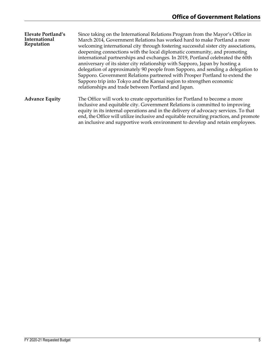| <b>Elevate Portland's</b><br>International<br>Reputation | Since taking on the International Relations Program from the Mayor's Office in<br>March 2014, Government Relations has worked hard to make Portland a more<br>welcoming international city through fostering successful sister city associations,<br>deepening connections with the local diplomatic community, and promoting<br>international partnerships and exchanges. In 2019, Portland celebrated the 60th<br>anniversary of its sister city relationship with Sapporo, Japan by hosting a<br>delegation of approximately 90 people from Sapporo, and sending a delegation to<br>Sapporo. Government Relations partnered with Prosper Portland to extend the<br>Sapporo trip into Tokyo and the Kansai region to strengthen economic<br>relationships and trade between Portland and Japan. |
|----------------------------------------------------------|---------------------------------------------------------------------------------------------------------------------------------------------------------------------------------------------------------------------------------------------------------------------------------------------------------------------------------------------------------------------------------------------------------------------------------------------------------------------------------------------------------------------------------------------------------------------------------------------------------------------------------------------------------------------------------------------------------------------------------------------------------------------------------------------------|
| <b>Advance Equity</b>                                    | The Office will work to create opportunities for Portland to become a more<br>inclusive and equitable city. Government Relations is committed to improving<br>equity in its internal operations and in the delivery of advocacy services. To that<br>end, the Office will utilize inclusive and equitable recruiting practices, and promote                                                                                                                                                                                                                                                                                                                                                                                                                                                       |

an inclusive and supportive work environment to develop and retain employees.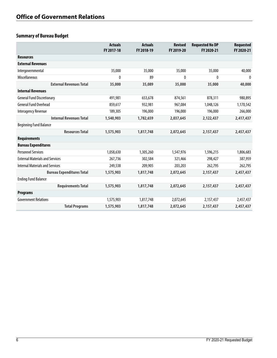# **Summary of Bureau Budget**

|                                        | <b>Actuals</b><br>FY 2017-18 | <b>Actuals</b><br>FY 2018-19 | <b>Revised</b><br>FY 2019-20 | <b>Requested No DP</b><br>FY 2020-21 | <b>Requested</b><br>FY 2020-21 |
|----------------------------------------|------------------------------|------------------------------|------------------------------|--------------------------------------|--------------------------------|
| <b>Resources</b>                       |                              |                              |                              |                                      |                                |
| <b>External Revenues</b>               |                              |                              |                              |                                      |                                |
| Intergovernmental                      | 35,000                       | 35,000                       | 35,000                       | 35,000                               | 40,000                         |
| <b>Miscellaneous</b>                   | 0                            | 89                           | 0                            | $\mathbf{0}$                         | $\mathbf{0}$                   |
| <b>External Revenues Total</b>         | 35,000                       | 35,089                       | 35,000                       | 35,000                               | 40,000                         |
| <b>Internal Revenues</b>               |                              |                              |                              |                                      |                                |
| <b>General Fund Discretionary</b>      | 491,981                      | 653,678                      | 874,561                      | 878,311                              | 980,895                        |
| <b>General Fund Overhead</b>           | 859,617                      | 932,981                      | 967,084                      | 1,048,126                            | 1,170,542                      |
| <b>Interagency Revenue</b>             | 189,305                      | 196,000                      | 196,000                      | 196,000                              | 266,000                        |
| <b>Internal Revenues Total</b>         | 1,540,903                    | 1,782,659                    | 2,037,645                    | 2,122,437                            | 2,417,437                      |
| Beginning Fund Balance                 |                              |                              |                              |                                      |                                |
| <b>Resources Total</b>                 | 1,575,903                    | 1,817,748                    | 2,072,645                    | 2,157,437                            | 2,457,437                      |
| <b>Requirements</b>                    |                              |                              |                              |                                      |                                |
| <b>Bureau Expenditures</b>             |                              |                              |                              |                                      |                                |
| <b>Personnel Services</b>              | 1,058,630                    | 1,305,260                    | 1,547,976                    | 1,596,215                            | 1,806,683                      |
| <b>External Materials and Services</b> | 267,736                      | 302,584                      | 321,466                      | 298,427                              | 387,959                        |
| <b>Internal Materials and Services</b> | 249,538                      | 209,905                      | 203,203                      | 262,795                              | 262,795                        |
| <b>Bureau Expenditures Total</b>       | 1,575,903                    | 1,817,748                    | 2,072,645                    | 2,157,437                            | 2,457,437                      |
| <b>Ending Fund Balance</b>             |                              |                              |                              |                                      |                                |
| <b>Requirements Total</b>              | 1,575,903                    | 1,817,748                    | 2,072,645                    | 2,157,437                            | 2,457,437                      |
| <b>Programs</b>                        |                              |                              |                              |                                      |                                |
| <b>Government Relations</b>            | 1,575,903                    | 1,817,748                    | 2,072,645                    | 2,157,437                            | 2,457,437                      |
| <b>Total Programs</b>                  | 1,575,903                    | 1,817,748                    | 2,072,645                    | 2,157,437                            | 2,457,437                      |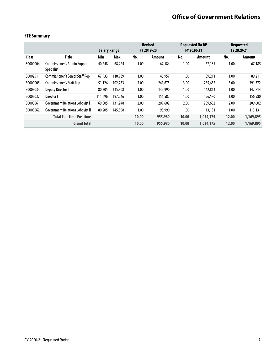# **FTE Summary**

|              |                                                   | <b>Salary Range</b> |         |       | <b>Revised</b><br>FY 2019-20 |       | <b>Requested No DP</b><br>FY 2020-21 |       | <b>Requested</b><br>FY 2020-21 |
|--------------|---------------------------------------------------|---------------------|---------|-------|------------------------------|-------|--------------------------------------|-------|--------------------------------|
| <b>Class</b> | Title                                             | Min                 | Max     | No.   | Amount                       | No.   | Amount                               | No.   | Amount                         |
| 30000004     | <b>Commissioner's Admin Support</b><br>Specialist | 40,248              | 68,224  | 1.00  | 67,184                       | 1.00  | 67,185                               | 1.00  | 67,185                         |
| 30002511     | Commissioner's Senior Staff Rep                   | 67,933              | 110.989 | 1.00  | 45,957                       | 1.00  | 89,211                               | 1.00  | 89,211                         |
| 30000005     | <b>Commissioner's Staff Rep</b>                   | 51,126              | 102.773 | 3.00  | 241,675                      | 3.00  | 255,652                              | 5.00  | 391,372                        |
| 30003034     | Deputy Director I                                 | 80,205              | 145,808 | 1.00  | 135,990                      | 1.00  | 142,814                              | 1.00  | 142,814                        |
| 30003037     | Director I                                        | 111.696             | 197.246 | 1.00  | 156,582                      | 1.00  | 156.580                              | 1.00  | 156,580                        |
| 30003061     | <b>Government Relations Lobbyist I</b>            | 69,805              | 131,248 | 2.00  | 209,602                      | 2.00  | 209,602                              | 2.00  | 209,602                        |
| 30003062     | <b>Government Relations Lobbyist II</b>           | 80,205              | 145,808 | 1.00  | 98,990                       | 1.00  | 113,131                              | 1.00  | 113,131                        |
|              | <b>Total Full-Time Positions</b>                  |                     |         | 10.00 | 955,980                      | 10.00 | 1,034,175                            | 12.00 | 1,169,895                      |
|              | <b>Grand Total</b>                                |                     |         | 10.00 | 955,980                      | 10.00 | 1.034.175                            | 12.00 | 1,169,895                      |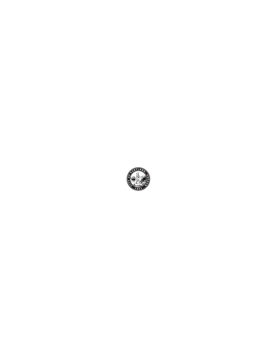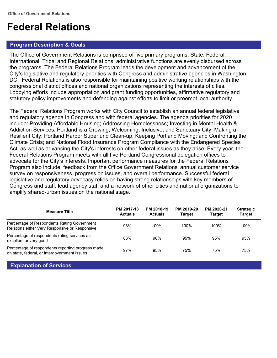# **Federal Relations**

### **Program Description & Goals**

The Office of Government Relations is comprised of five primary programs: State, Federal, International, Tribal and Regional Relations; administrative functions are evenly disbursed across the programs. The Federal Relations Program leads the development and advancement of the City's legislative and regulatory priorities with Congress and administrative agencies in Washington, DC. Federal Relations is also responsible for maintaining positive working relationships with the congressional district offices and national organizations representing the interests of cities. Lobbying efforts include appropriation and grant funding opportunities, affirmative regulatory and statutory policy improvements and defending against efforts to limit or preempt local authority.

The Federal Relations Program works with City Council to establish an annual federal legislative and regulatory agenda in Congress and with federal agencies. The agenda priorities for 2020 include: Providing Affordable Housing; Addressing Homelessness; Investing in Mental Health & Addiction Services; Portland is a Growing, Welcoming, Inclusive, and Sanctuary City; Making a Resilient City; Portland Harbor Superfund Clean-up; Keeping Portland Moving; and Confronting the Climate Crisis; and National Flood Insurance Program Compliance with the Endangered Species Act; as well as advancing the City's interests on other federal issues as they arise. Every year, the Federal Relations Program meets with all five Portland Congressional delegation offices to advocate for the City's interests. Important performance measures for the Federal Relations Program also include: feedback from the Office Government Relations' annual customer service survey on responsiveness, progress on issues, and overall performance. Successful federal legislative and regulatory advocacy relies on having strong relationships with key members of Congress and staff, lead agency staff and a network of other cities and national organizations to amplify shared-urban issues on the national stage.

| <b>Measure Title</b>                                                                              | PM 2017-18<br><b>Actuals</b> | PM 2018-19<br><b>Actuals</b> | PM 2019-20<br><b>Target</b> | PM 2020-21<br><b>Target</b> | <b>Strategic</b><br><b>Target</b> |
|---------------------------------------------------------------------------------------------------|------------------------------|------------------------------|-----------------------------|-----------------------------|-----------------------------------|
| Percentage of Respondents Rating Government<br>Relations either Very Responsive or Responsive     | 98%                          | 100%                         | 100%                        | 100%                        | 100%                              |
| Percentage of respondents rating services as<br>excellent or very good                            | 86%                          | 90%                          | 95%                         | 95%                         | 95%                               |
| Percentage of respondents reporting progress made<br>on state, federal, or intergovernment issues | 97%                          | 95%                          | 75%                         | 75%                         | 75%                               |

### **Explanation of Services**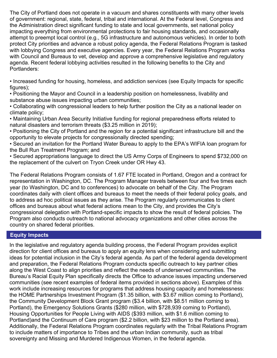The City of Portland does not operate in a vacuum and shares constituents with many other levels of government: regional, state, federal, tribal and international. At the Federal level, Congress and the Administration direct significant funding to state and local governments, set national policy impacting everything from environmental protections to fair housing standards, and occasionally attempt to preempt local control (e.g., 5G infrastructure and autonomous vehicles). In order to both protect City priorities and advance a robust policy agenda, the Federal Relations Program is tasked with lobbying Congress and executive agencies. Every year, the Federal Relations Program works with Council and Bureaus to vet, develop and approve a comprehensive legislative and regulatory agenda. Recent federal lobbying activities resulted in the following benefits to the City and Portlanders:

• Increased funding for housing, homeless, and addiction services (see Equity Impacts for specific figures);

• Positioning the Mayor and Council in a leadership position on homelessness, livability and substance abuse issues impacting urban communities;

• Collaborating with congressional leaders to help further position the City as a national leader on climate policy;

• Maintaining Urban Area Security Initiative funding for regional preparedness efforts related to natural disasters and terrorism threats (\$3.25 million in 2019);

• Positioning the City of Portland and the region for a potential significant infrastructure bill and the opportunity to elevate projects for congressionally directed spending;

• Secured an invitation for the Portland Water Bureau to apply to the EPA's WIFIA loan program for the Bull Run Treatment Program; and

• Secured appropriations language to direct the US Army Corps of Engineers to spend \$732,000 on the replacement of the culvert on Tryon Creek under OR Hwy 43.

The Federal Relations Program consists of 1.67 FTE located in Portland, Oregon and a contract for representation in Washington, DC. The Program Manager travels between four and five times each year (to Washington, DC and to conferences) to advocate on behalf of the City. The Program coordinates daily with client offices and bureaus to meet the needs of their federal policy goals, and to address ad hoc political issues as they arise. The Program regularly communicates to client offices and bureaus about what federal actions mean to the City, and provides the City's congressional delegation with Portland-specific impacts to show the result of federal policies. The Program also conducts outreach to national advocacy organizations and other cities across the country on shared federal priorities.

### **Equity Impacts**

In the legislative and regulatory agenda building process, the Federal Program provides explicit direction for client offices and bureaus to apply an equity lens when considering and submitting ideas for potential inclusion in the City's federal agenda. As part of the federal agenda development and preparation, the Federal Relations Program conducts specific outreach to key partner cities along the West Coast to align priorities and reflect the needs of underserved communities. The Bureau's Racial Equity Plan specifically directs the Office to advance issues impacting underserved communities (see recent examples of federal items provided in sections above). Examples of this work include increasing resources for programs that address housing capacity and homelessness: the HOME Partnerships Investment Program (\$1.35 billion, with \$3.67 million coming to Portland), the Community Development Block Grant program (\$3.4 billion, with \$8.51 million coming to Portland), the Emergency Solutions Grants (\$280 million, with \$728,939 coming to Portland), Housing Opportunities for People Living with AIDS (\$393 million, with \$1.6 million coming to Portland)and the Continuum of Care program (\$2.2 billion, with \$23 million to the Portland area). Additionally, the Federal Relations Program coordinates regularly with the Tribal Relations Program to include matters of importance to Tribes and the urban Indian community, such as tribal sovereignty and Missing and Murdered Indigenous Women, in the federal agenda.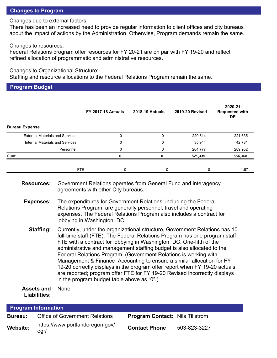#### **Changes to Program**

Changes due to external factors:

There has been an increased need to provide regular information to client offices and city bureaus about the impact of actions by the Administration. Otherwise, Program demands remain the same.

Changes to resources:

Federal Relations program offer resources for FY 20-21 are on par with FY 19-20 and reflect refined allocation of programmatic and administrative resources.

Changes to Organizational Structure:

Staffing and resource allocations to the Federal Relations Program remain the same.

#### **Program Budget**

|                                        | <b>FY 2017-18 Actuals</b> | <b>2018-19 Actuals</b> | <b>2019-20 Revised</b> | 2020-21<br><b>Requested with</b><br><b>DP</b> |
|----------------------------------------|---------------------------|------------------------|------------------------|-----------------------------------------------|
| <b>Bureau Expense</b>                  |                           |                        |                        |                                               |
| <b>External Materials and Services</b> | 0                         | 0                      | 220,614                | 221,635                                       |
| Internal Materials and Services        | 0                         | 0                      | 35,944                 | 42,781                                        |
| Personnel                              | 0                         | 0                      | 264,777                | 289,952                                       |
| Sum:                                   | 0                         | Ω                      | 521,335                | 554,368                                       |
|                                        | <b>FTE</b>                | 0                      |                        | 1.67                                          |

- **Resources:** Government Relations operates from General Fund and interagency agreements with other City bureaus.
	- **Expenses:** The expenditures for Government Relations, including the Federal Relations Program, are generally personnel, travel and operating expenses. The Federal Relations Program also includes a contract for lobbying in Washington, DC.
		- **Staffing:** Currently, under the organizational structure, Government Relations has 10 full-time staff (FTE). The Federal Relations Program has one program staff FTE with a contract for lobbying in Washington, DC. One-fifth of the administrative and management staffing budget is also allocated to the Federal Relations Program. (Government Relations is working with Management & Finance–Accounting to ensure a similar allocation for FY 19-20 correctly displays in the program offer report when FY 19-20 actuals are reported; program offer FTE for FY 19-20 Revised incorrectly displays in the program budget table above as "0".)

**Assets and Liabilities:** None

|                 | <b>Program Information</b>              |                                        |              |
|-----------------|-----------------------------------------|----------------------------------------|--------------|
| <b>Bureau:</b>  | <b>Office of Government Relations</b>   | <b>Program Contact: Nils Tillstrom</b> |              |
| <b>Website:</b> | https://www.portlandoregon.gov/<br>ogr/ | <b>Contact Phone</b>                   | 503-823-3227 |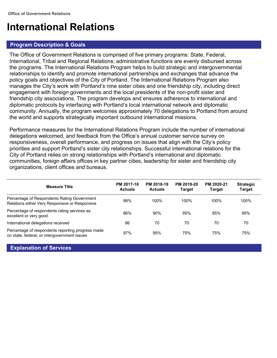# **International Relations**

### **Program Description & Goals**

The Office of Government Relations is comprised of five primary programs: State, Federal, International, Tribal and Regional Relations; administrative functions are evenly disbursed across the programs. The International Relations Program helps to build strategic and intergovernmental relationships to identify and promote international partnerships and exchanges that advance the policy goals and objectives of the City of Portland. The International Relations Program also manages the City's work with Portland's nine sister cities and one friendship city, including direct engagement with foreign governments and the local presidents of the non-profit sister and friendship city associations. The program develops and ensures adherence to international and diplomatic protocols by interfacing with Portland's local international network and diplomatic community. Annually, the program welcomes approximately 70 delegations to Portland from around the world and supports strategically important outbound international missions.

Performance measures for the International Relations Program include the number of international delegations welcomed, and feedback from the Office's annual customer service survey on responsiveness, overall performance, and progress on issues that align with the City's policy priorities and support Portland's sister city relationships. Successful international relations for the City of Portland relies on strong relationships with Portland's international and diplomatic communities, foreign affairs offices in key partner cities, leadership for sister and friendship city organizations, client offices and bureaus.

| <b>Measure Title</b>                                                                              | PM 2017-18<br><b>Actuals</b> | PM 2018-19<br><b>Actuals</b> | PM 2019-20<br><b>Target</b> | PM 2020-21<br><b>Target</b> | <b>Strategic</b><br><b>Target</b> |
|---------------------------------------------------------------------------------------------------|------------------------------|------------------------------|-----------------------------|-----------------------------|-----------------------------------|
| Percentage of Respondents Rating Government<br>Relations either Very Responsive or Responsive     | 98%                          | 100%                         | 100%                        | 100%                        | 100%                              |
| Percentage of respondents rating services as<br>excellent or very good                            | 86%                          | 90%                          | 95%                         | 95%                         | 95%                               |
| International delegations received                                                                | 86                           | 70                           | 70                          | 70                          | 70                                |
| Percentage of respondents reporting progress made<br>on state, federal, or intergovernment issues | 97%                          | 95%                          | 75%                         | 75%                         | 75%                               |

#### **Explanation of Services**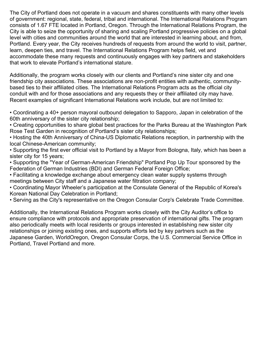The City of Portland does not operate in a vacuum and shares constituents with many other levels of government: regional, state, federal, tribal and international. The International Relations Program consists of 1.67 FTE located in Portland, Oregon. Through the International Relations Program, the City is able to seize the opportunity of sharing and scaling Portland progressive policies on a global level with cities and communities around the world that are interested in learning about, and from, Portland. Every year, the City receives hundreds of requests from around the world to visit, partner, learn, deepen ties, and travel. The International Relations Program helps field, vet and accommodate these many requests and continuously engages with key partners and stakeholders that work to elevate Portland's international stature.

Additionally, the program works closely with our clients and Portland's nine sister city and one friendship city associations. These associations are non-profit entities with authentic, communitybased ties to their affiliated cities. The International Relations Program acts as the official city conduit with and for those associations and any requests they or their affiliated city may have. Recent examples of significant International Relations work include, but are not limited to:

• Coordinating a 40+ person mayoral outbound delegation to Sapporo, Japan in celebration of the 60th anniversary of the sister city relationship;

• Creating opportunities to share global best practices for the Parks Bureau at the Washington Park Rose Test Garden in recognition of Portland's sister city relationships;

• Hosting the 40th Anniversary of China-US Diplomatic Relations reception, in partnership with the local Chinese-American community;

• Supporting the first ever official visit to Portland by a Mayor from Bologna, Italy, which has been a sister city for 15 years;

• Supporting the "Year of German-American Friendship" Portland Pop Up Tour sponsored by the Federation of German Industries (BDI) and German Federal Foreign Office;

• Facilitating a knowledge exchange about emergency clean water supply systems through meetings between City staff and a Japanese water filtration company;

• Coordinating Mayor Wheeler's participation at the Consulate General of the Republic of Korea's Korean National Day Celebration in Portland;

• Serving as the City's representative on the Oregon Consular Corp's Celebrate Trade Committee.

Additionally, the International Relations Program works closely with the City Auditor's office to ensure compliance with protocols and appropriate preservation of international gifts. The program also periodically meets with local residents or groups interested in establishing new sister city relationships or joining existing ones, and supports efforts led by key partners such as the Japanese Garden, WorldOregon, Oregon Consular Corps, the U.S. Commercial Service Office in Portland, Travel Portland and more.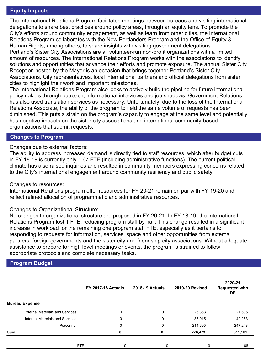#### **Equity Impacts**

The International Relations Program facilitates meetings between bureaus and visiting international delegations to share best practices around policy areas, through an equity lens. To promote the City's efforts around community engagement, as well as learn from other cities, the International Relations Program collaborates with the New Portlanders Program and the Office of Equity & Human Rights, among others, to share insights with visiting government delegations.

Portland's Sister City Associations are all volunteer-run non-profit organizations with a limited amount of resources. The International Relations Program works with the associations to identify solutions and opportunities that advance their efforts and promote exposure. The annual Sister City Reception hosted by the Mayor is an occasion that brings together Portland's Sister City Associations, City representatives, local international partners and official delegations from sister cities to highlight their work and important milestones.

The International Relations Program also looks to actively build the pipeline for future international policymakers through outreach, informational interviews and job shadows. Government Relations has also used translation services as necessary. Unfortunately, due to the loss of the International Relations Associate, the ability of the program to field the same volume of requests has been diminished. This puts a strain on the program's capacity to engage at the same level and potentially has negative impacts on the sister city associations and international community-based organizations that submit requests.

#### **Changes to Program**

Changes due to external factors:

The ability to address increased demand is directly tied to staff resources, which after budget cuts in FY 18-19 is currently only 1.67 FTE (including administrative functions). The current political climate has also raised inquiries and resulted in community members expressing concerns related to the City's international engagement around community resiliency and public safety.

#### Changes to resources:

International Relations program offer resources for FY 20-21 remain on par with FY 19-20 and reflect refined allocation of programmatic and administrative resources.

#### Changes to Organizational Structure:

No changes to organizational structure are proposed in FY 20-21. In FY 18-19, the International Relations Program lost 1 FTE, reducing program staff by half. This change resulted in a significant increase in workload for the remaining one program staff FTE, especially as it pertains to responding to requests for information, services, space and other opportunities from external partners, foreign governments and the sister city and friendship city associations. Without adequate assistance to prepare for high level meetings or events, the program is strained to follow appropriate protocols and complete necessary tasks.

#### **Program Budget**

|                                        | <b>FY 2017-18 Actuals</b> | <b>2018-19 Actuals</b> | <b>2019-20 Revised</b> | 2020-21<br><b>Requested with</b><br><b>DP</b> |
|----------------------------------------|---------------------------|------------------------|------------------------|-----------------------------------------------|
| <b>Bureau Expense</b>                  |                           |                        |                        |                                               |
| <b>External Materials and Services</b> | 0                         | 0                      | 25,863                 | 21,635                                        |
| Internal Materials and Services        | 0                         | 0                      | 35,915                 | 42,283                                        |
| Personnel                              | 0                         |                        | 214,695                | 247,243                                       |
| Sum:                                   | 0                         | O                      | 276,473                | 311,161                                       |
|                                        | <b>FTE</b>                | 0                      |                        | 1.66                                          |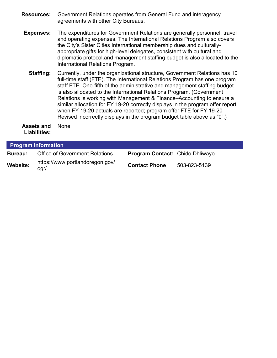- **Resources:** Government Relations operates from General Fund and interagency agreements with other City Bureaus.
- **Expenses:** The expenditures for Government Relations are generally personnel, travel and operating expenses. The International Relations Program also covers the City's Sister Cities International membership dues and culturallyappropriate gifts for high-level delegates, consistent with cultural and diplomatic protocol.and management staffing budget is also allocated to the International Relations Program.
	- **Staffing:** Currently, under the organizational structure, Government Relations has 10 full-time staff (FTE). The International Relations Program has one program staff FTE. One-fifth of the administrative and management staffing budget is also allocated to the International Relations Program. (Government Relations is working with Management & Finance–Accounting to ensure a similar allocation for FY 19-20 correctly displays in the program offer report when FY 19-20 actuals are reported; program offer FTE for FY 19-20 Revised incorrectly displays in the program budget table above as "0".)

**Assets and Liabilities:** None

|                 | <b>Program Information</b>              |                                        |              |
|-----------------|-----------------------------------------|----------------------------------------|--------------|
| <b>Bureau:</b>  | <b>Office of Government Relations</b>   | <b>Program Contact:</b> Chido Dhliwayo |              |
| <b>Website:</b> | https://www.portlandoregon.gov/<br>ogr/ | <b>Contact Phone</b>                   | 503-823-5139 |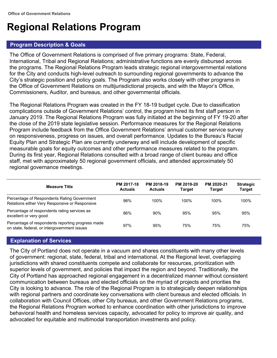# **Regional Relations Program**

### **Program Description & Goals**

The Office of Government Relations is comprised of five primary programs: State, Federal, International, Tribal and Regional Relations; administrative functions are evenly disbursed across the programs. The Regional Relations Program leads strategic regional intergovernmental relations for the City and conducts high-level outreach to surrounding regional governments to advance the City's strategic position and policy goals. The Program also works closely with other programs in the Office of Government Relations on multijurisdictional projects, and with the Mayor's Office, Commissioners, Auditor, and bureaus, and other governmental officials.

The Regional Relations Program was created in the FY 18-19 budget cycle. Due to classification complications outside of Government Relations' control, the program hired its first staff person in January 2019. The Regional Relations Program was fully initiated at the beginning of FY 19-20 after the close of the 2019 state legislative session. Performance measures for the Regional Relations Program include feedback from the Office Government Relations' annual customer service survey on responsiveness, progress on issues, and overall performance. Updates to the Bureau's Racial Equity Plan and Strategic Plan are currently underway and will include development of specific measurable goals for equity outcomes and other performance measures related to the program. During its first year, Regional Relations consulted with a broad range of client bureau and office staff, met with approximately 50 regional government officials, and attended approximately 50 regional governance meetings.

| <b>Measure Title</b>                                                                              | PM 2017-18<br><b>Actuals</b> | PM 2018-19<br><b>Actuals</b> | PM 2019-20<br><b>Target</b> | PM 2020-21<br>Target | <b>Strategic</b><br><b>Target</b> |  |
|---------------------------------------------------------------------------------------------------|------------------------------|------------------------------|-----------------------------|----------------------|-----------------------------------|--|
| Percentage of Respondents Rating Government<br>Relations either Very Responsive or Responsive     | 98%                          | 100%                         | 100%                        | 100%                 | 100%                              |  |
| Percentage of respondents rating services as<br>excellent or very good                            | 86%                          | 90%                          | 95%                         | 95%                  | 95%                               |  |
| Percentage of respondents reporting progress made<br>on state, federal, or intergovernment issues | 97%                          | 95%                          | 75%                         | 75%                  | 75%                               |  |

#### **Explanation of Services**

The City of Portland does not operate in a vacuum and shares constituents with many other levels of government: regional, state, federal, tribal and international. At the Regional level, overlapping jurisdictions with shared constituents compete and collaborate for resources, prioritization with superior levels of government, and policies that impact the region and beyond. Traditionally, the City of Portland has approached regional engagement in a decentralized manner without consistent communication between bureaus and elected officials on the myriad of projects and priorities the City is looking to advance. The role of the Regional Program is to strategically deepen relationships with regional partners and coordinate key conversations with client bureaus and elected officials. In collaboration with Council Offices, other City bureaus, and other Government Relations programs, the Regional Relations Program worked to enhance coordination with other jurisdictions to improve behavioral health and homeless services capacity, advocated for policy to improve air quality, and advocated for equitable and multimodal transportation investments and policy.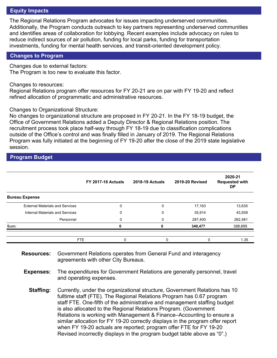#### **Equity Impacts**

The Regional Relations Program advocates for issues impacting underserved communities. Additionally, the Program conducts outreach to key partners representing underserved communities and identifies areas of collaboration for lobbying. Recent examples include advocacy on rules to reduce indirect sources of air pollution, funding for local parks, funding for transportation investments, funding for mental health services, and transit-oriented development policy.

#### **Changes to Program**

Changes due to external factors:

The Program is too new to evaluate this factor.

#### Changes to resources:

Regional Relations program offer resources for FY 20-21 are on par with FY 19-20 and reflect refined allocation of programmatic and administrative resources.

#### Changes to Organizational Structure:

No changes to organizational structure are proposed in FY 20-21. In the FY 18-19 budget, the Office of Government Relations added a Deputy Director & Regional Relations position. The recruitment process took place half-way through FY 18-19 due to classification complications outside of the Office's control and was finally filled in January of 2019. The Regional Relations Program was fully initiated at the beginning of FY 19-20 after the close of the 2019 state legislative session.

#### **Program Budget**

|                                        | <b>FY 2017-18 Actuals</b> | <b>2018-19 Actuals</b> | <b>2019-20 Revised</b> | 2020-21<br><b>Requested with</b><br><b>DP</b> |
|----------------------------------------|---------------------------|------------------------|------------------------|-----------------------------------------------|
| <b>Bureau Expense</b>                  |                           |                        |                        |                                               |
| <b>External Materials and Services</b> | 0                         | 0                      | 17,163                 | 13,635                                        |
| Internal Materials and Services        | 0                         | 0                      | 35,914                 | 43,939                                        |
| Personnel                              | 0                         | 0                      | 287,400                | 262,481                                       |
| Sum:                                   |                           |                        | 340,477                | 320,055                                       |
|                                        |                           |                        |                        |                                               |
| <b>FTE</b>                             | $\Omega$                  | 0                      |                        | 1.35                                          |

- **Resources:** Government Relations operates from General Fund and interagency agreements with other City Bureaus.
	- **Expenses:** The expenditures for Government Relations are generally personnel, travel and operating expenses.
		- **Staffing:** Currently, under the organizational structure, Government Relations has 10 fulltime staff (FTE). The Regional Relations Program has 0.67 program staff FTE. One-fifth of the administrative and management staffing budget is also allocated to the Regional Relations Program. (Government Relations is working with Management & Finance–Accounting to ensure a similar allocation for FY 19-20 correctly displays in the program offer report when FY 19-20 actuals are reported; program offer FTE for FY 19-20 Revised incorrectly displays in the program budget table above as "0".)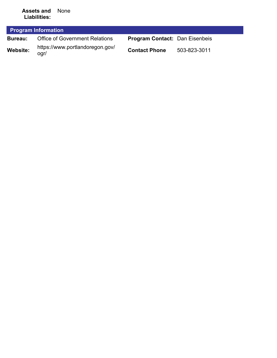| <b>Program Information</b> |                                         |                                       |              |  |  |  |  |
|----------------------------|-----------------------------------------|---------------------------------------|--------------|--|--|--|--|
| <b>Bureau:</b>             | <b>Office of Government Relations</b>   | <b>Program Contact: Dan Eisenbeis</b> |              |  |  |  |  |
| <b>Website:</b>            | https://www.portlandoregon.gov/<br>ogr/ | <b>Contact Phone</b>                  | 503-823-3011 |  |  |  |  |

×.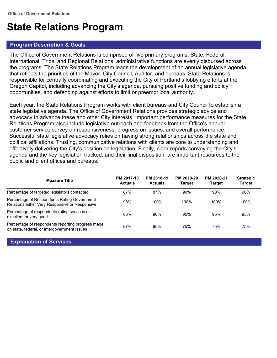# **State Relations Program**

### **Program Description & Goals**

The Office of Government Relations is comprised of five primary programs: State, Federal, International, Tribal and Regional Relations; administrative functions are evenly disbursed across the programs. The State Relations Program leads the development of an annual legislative agenda that reflects the priorities of the Mayor, City Council, Auditor, and bureaus. State Relations is responsible for centrally coordinating and executing the City of Portland's lobbying efforts at the Oregon Capitol, including advancing the City's agenda, pursuing positive funding and policy opportunities, and defending against efforts to limit or preempt local authority.

Each year, the State Relations Program works with client bureaus and City Council to establish a state legislative agenda. The Office of Government Relations provides strategic advice and advocacy to advance these and other City interests. Important performance measures for the State Relations Program also include legislative outreach and feedback from the Office's annual customer service survey on responsiveness, progress on issues, and overall performance. Successful state legislative advocacy relies on having strong relationships across the state and political affiliations. Trusting, communicative relations with clients are core to understanding and effectively delivering the City's position on legislation. Finally, clear reports conveying the City's agenda and the key legislation tracked, and their final disposition, are important resources to the public and client offices and bureaus.

| <b>Measure Title</b>                                                                              | PM 2017-18<br><b>Actuals</b> | PM 2018-19<br><b>Actuals</b> | PM 2019-20<br><b>Target</b> | PM 2020-21<br><b>Target</b> | <b>Strategic</b><br>Target |
|---------------------------------------------------------------------------------------------------|------------------------------|------------------------------|-----------------------------|-----------------------------|----------------------------|
| Percentage of targeted legislators contacted                                                      | 87%                          | 87%                          | 90%                         | 90%                         | 90%                        |
| Percentage of Respondents Rating Government<br>Relations either Very Responsive or Responsive     | 98%                          | 100%                         | 100%                        | 100%                        | 100%                       |
| Percentage of respondents rating services as<br>excellent or very good                            | 86%                          | 90%                          | 95%                         | 95%                         | 95%                        |
| Percentage of respondents reporting progress made<br>on state, federal, or intergovernment issues | 97%                          | 95%                          | 75%                         | 75%                         | 75%                        |

# **Explanation of Services**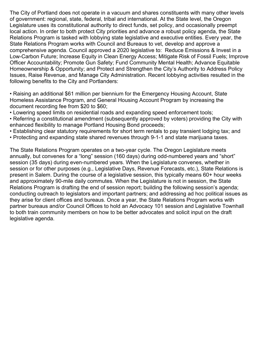The City of Portland does not operate in a vacuum and shares constituents with many other levels of government: regional, state, federal, tribal and international. At the State level, the Oregon Legislature uses its constitutional authority to direct funds, set policy, and occasionally preempt local action. In order to both protect City priorities and advance a robust policy agenda, the State Relations Program is tasked with lobbying state legislative and executive entities. Every year, the State Relations Program works with Council and Bureaus to vet, develop and approve a comprehensive agenda. Council approved a 2020 legislative to: Reduce Emissions & Invest in a Low-Carbon Future; Increase Equity in Clean Energy Access; Mitigate Risk of Fossil Fuels; Improve Officer Accountability; Promote Gun Safety; Fund Community Mental Health; Advance Equitable Homeownership & Opportunity; and Protect and Strengthen the City's Authority to Address Policy Issues, Raise Revenue, and Manage City Administration. Recent lobbying activities resulted in the following benefits to the City and Portlanders:

• Raising an additional \$61 million per biennium for the Emergency Housing Account, State Homeless Assistance Program, and General Housing Account Program by increasing the document recording fee from \$20 to \$60;

- Lowering speed limits on residential roads and expanding speed enforcement tools;
- Referring a constitutional amendment (subsequently approved by voters) providing the City with enhanced flexibility to manage Portland Housing Bond proceeds;
- Establishing clear statutory requirements for short term rentals to pay transient lodging tax; and
- Protecting and expanding state shared revenues through 9-1-1 and state marijuana taxes.

The State Relations Program operates on a two-year cycle. The Oregon Legislature meets annually, but convenes for a "long" session (160 days) during odd-numbered years and "short" session (35 days) during even-numbered years. When the Legislature convenes, whether in session or for other purposes (e.g., Legislative Days, Revenue Forecasts, etc.), State Relations is present in Salem. During the course of a legislative session, this typically means 60+ hour weeks and approximately 90-mile daily commutes. When the Legislature is not in session, the State Relations Program is drafting the end of session report; building the following session's agenda; conducting outreach to legislators and important partners; and addressing ad hoc political issues as they arise for client offices and bureaus. Once a year, the State Relations Program works with partner bureaus and/or Council Offices to hold an Advocacy 101 session and Legislative Townhall to both train community members on how to be better advocates and solicit input on the draft legislative agenda.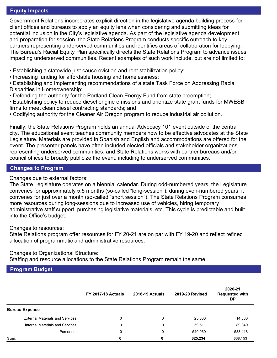#### **Equity Impacts**

Government Relations incorporates explicit direction in the legislative agenda building process for client offices and bureaus to apply an equity lens when considering and submitting ideas for potential inclusion in the City's legislative agenda. As part of the legislative agenda development and preparation for session, the State Relations Program conducts specific outreach to key partners representing underserved communities and identifies areas of collaboration for lobbying. The Bureau's Racial Equity Plan specifically directs the State Relations Program to advance issues impacting underserved communities. Recent examples of such work include, but are not limited to:

• Establishing a statewide just cause eviction and rent stabilization policy;

• Increasing funding for affordable housing and homelessness;

• Establishing and implementing recommendations of a state Task Force on Addressing Racial Disparities in Homeownership;

• Defending the authority for the Portland Clean Energy Fund from state preemption;

• Establishing policy to reduce diesel engine emissions and prioritize state grant funds for MWESB firms to meet clean diesel contracting standards; and

• Codifying authority for the Cleaner Air Oregon program to reduce industrial air pollution.

Finally, the State Relations Program holds an annual Advocacy 101 event outside of the central city. The educational event teaches community members how to be effective advocates at the State Legislature. Materials are provided in Spanish and English and accommodations are offered for the event. The presenter panels have often included elected officials and stakeholder organizations representing underserved communities, and State Relations works with partner bureaus and/or council offices to broadly publicize the event, including to underserved communities.

#### **Changes to Program**

Changes due to external factors:

The State Legislature operates on a biennial calendar. During odd-numbered years, the Legislature convenes for approximately 5.5 months (so-called "long-session"); during even-numbered years, it convenes for just over a month (so-called "short session"). The State Relations Program consumes more resources during long-sessions due to increased use of vehicles, hiring temporary administrative staff support, purchasing legislative materials, etc. This cycle is predictable and built into the Office's budget.

Changes to resources:

State Relations program offer resources for FY 20-21 are on par with FY 19-20 and reflect refined allocation of programmatic and administrative resources.

Changes to Organizational Structure:

Staffing and resource allocations to the State Relations Program remain the same.

**Program Budget**

|                                        | <b>FY 2017-18 Actuals</b> | <b>2018-19 Actuals</b> | <b>2019-20 Revised</b> | 2020-21<br><b>Requested with</b><br><b>DP</b> |
|----------------------------------------|---------------------------|------------------------|------------------------|-----------------------------------------------|
| <b>Bureau Expense</b>                  |                           |                        |                        |                                               |
| <b>External Materials and Services</b> | 0                         | 0                      | 25,663                 | 14,886                                        |
| Internal Materials and Services        | 0                         | 0                      | 59,511                 | 89,849                                        |
| Personnel                              | 0                         | 0                      | 540,060                | 533,418                                       |
| Sum:                                   | 0                         |                        | 625,234                | 638,153                                       |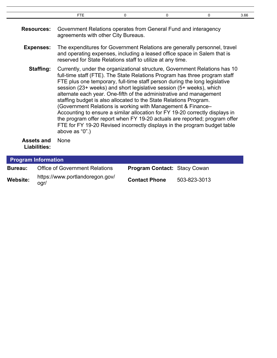|                   | FTE.                                                                                                                                                                                                                                                                                                                                                                                                                                                                                                                                                                                                     | 0 | 0 | 0 | 3.66 |
|-------------------|----------------------------------------------------------------------------------------------------------------------------------------------------------------------------------------------------------------------------------------------------------------------------------------------------------------------------------------------------------------------------------------------------------------------------------------------------------------------------------------------------------------------------------------------------------------------------------------------------------|---|---|---|------|
| <b>Resources:</b> | Government Relations operates from General Fund and interagency<br>agreements with other City Bureaus.                                                                                                                                                                                                                                                                                                                                                                                                                                                                                                   |   |   |   |      |
| <b>Expenses:</b>  | The expenditures for Government Relations are generally personnel, travel<br>and operating expenses, including a leased office space in Salem that is<br>reserved for State Relations staff to utilize at any time.                                                                                                                                                                                                                                                                                                                                                                                      |   |   |   |      |
| Staffing:         | Currently, under the organizational structure, Government Relations has 10<br>full-time staff (FTE). The State Relations Program has three program staff<br>FTE plus one temporary, full-time staff person during the long legislative<br>session (23+ weeks) and short legislative session (5+ weeks), which<br>alternate each year. One-fifth of the administrative and management<br>staffing budget is also allocated to the State Relations Program.<br>(Government Relations is working with Management & Finance-<br>Accounting to ensure a similar allocation for FY 19-20 correctly displays in |   |   |   |      |

the program offer report when FY 19-20 actuals are reported; program offer FTE for FY 19-20 Revised incorrectly displays in the program budget table above as "0".)

**Assets and Liabilities:** None

| <b>Program Information</b> |                                         |                                     |              |  |  |  |
|----------------------------|-----------------------------------------|-------------------------------------|--------------|--|--|--|
| Bureau:                    | <b>Office of Government Relations</b>   | <b>Program Contact: Stacy Cowan</b> |              |  |  |  |
| <b>Website:</b>            | https://www.portlandoregon.gov/<br>ogr/ | <b>Contact Phone</b>                | 503-823-3013 |  |  |  |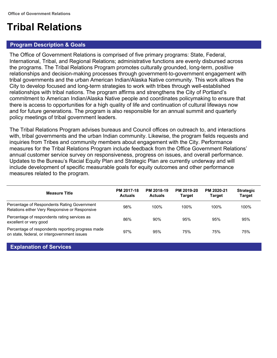# **Tribal Relations**

### **Program Description & Goals**

The Office of Government Relations is comprised of five primary programs: State, Federal, International, Tribal, and Regional Relations; administrative functions are evenly disbursed across the programs. The Tribal Relations Program promotes culturally grounded, long-term, positive relationships and decision-making processes through government-to-government engagement with tribal governments and the urban American Indian/Alaska Native community. This work allows the City to develop focused and long-term strategies to work with tribes through well-established relationships with tribal nations. The program affirms and strengthens the City of Portland's commitment to American Indian/Alaska Native people and coordinates policymaking to ensure that there is access to opportunities for a high quality of life and continuation of cultural lifeways now and for future generations. The program is also responsible for an annual summit and quarterly policy meetings of tribal government leaders.

The Tribal Relations Program advises bureaus and Council offices on outreach to, and interactions with, tribal governments and the urban Indian community. Likewise, the program fields requests and inquiries from Tribes and community members about engagement with the City. Performance measures for the Tribal Relations Program include feedback from the Office Government Relations' annual customer service survey on responsiveness, progress on issues, and overall performance. Updates to the Bureau's Racial Equity Plan and Strategic Plan are currently underway and will include development of specific measurable goals for equity outcomes and other performance measures related to the program.

| <b>Measure Title</b>                                                                              | PM 2017-18<br><b>Actuals</b> | PM 2018-19<br><b>Actuals</b> | PM 2019-20<br><b>Target</b> | PM 2020-21<br>Target | <b>Strategic</b><br>Target |
|---------------------------------------------------------------------------------------------------|------------------------------|------------------------------|-----------------------------|----------------------|----------------------------|
| Percentage of Respondents Rating Government<br>Relations either Very Responsive or Responsive     | 98%                          | 100%                         | 100%                        | 100%                 | 100%                       |
| Percentage of respondents rating services as<br>excellent or very good                            | 86%                          | 90%                          | 95%                         | 95%                  | 95%                        |
| Percentage of respondents reporting progress made<br>on state, federal, or intergovernment issues | 97%                          | 95%                          | 75%                         | 75%                  | 75%                        |

#### **Explanation of Services**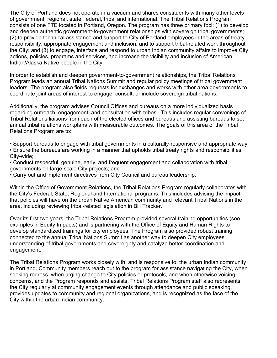The City of Portland does not operate in a vacuum and shares constituents with many other levels of government: regional, state, federal, tribal and international. The Tribal Relations Program consists of one FTE located in Portland, Oregon. The program has three primary foci: (1) to develop and deepen authentic government-to-government relationships with sovereign tribal governments; (2) to provide technical assistance and support to City of Portland employees in the areas of treaty responsibility, appropriate engagement and inclusion, and to support tribal-related work throughout the City; and (3) to engage, interface and respond to urban Indian community affairs to improve City actions, policies, programs and services, and increase the visibility and inclusion of American Indian/Alaska Native people in the City.

In order to establish and deepen government-to-government relationships, the Tribal Relations Program leads an annual Tribal Nations Summit and regular policy meetings of tribal government leaders. The program also fields requests for exchanges and works with other area governments to coordinate joint areas of interest to engage, consult, or include sovereign tribal nations.

Additionally, the program advises Council Offices and bureaus on a more individualized basis regarding outreach, engagement, and consultation with tribes. This includes regular convenings of Tribal Relations liaisons from each of the elected offices and bureaus and assisting bureaus to set annual tribal relations workplans with measurable outcomes. The goals of this area of the Tribal Relations Program are to:

• Support bureaus to engage with tribal governments in a culturally-responsive and appropriate way; • Ensure the bureaus are working in a manner that upholds tribal treaty rights and responsibilities City-wide;

• Conduct respectful, genuine, early, and frequent engagement and collaboration with tribal governments on large-scale City projects; and

• Carry out and implement directives from City Council and bureau leadership.

Within the Office of Government Relations, the Tribal Relations Program regularly collaborates with the City's Federal, State, Regional and International programs. This includes advising the impact that policies will have on the urban Native American community and relevant Tribal Nations in the area, including reviewing tribal-related legislation in Bill Tracker.

Over its first two years, the Tribal Relations Program provided several training opportunities (see examples in Equity Impacts) and is partnering with the Office of Equity and Human Rights to develop standardized trainings for city employees. The Program also provided robust training connected to the annual Tribal Nations Summit as another way to deepen City employees' understanding of tribal governments and sovereignty and catalyze better coordination and engagement.

The Tribal Relations Program works closely with, and is responsive to, the urban Indian community in Portland. Community members reach out to the program for assistance navigating the City, when seeking redress, when urging change to City policies or protocols, and when otherwise voicing concerns, and the Program responds and assists. Tribal Relations Program staff also represents the City regularly at community engagement events through attendance and public speaking, provides updates to community and regional organizations, and is recognized as the face of the City within the urban Indian community.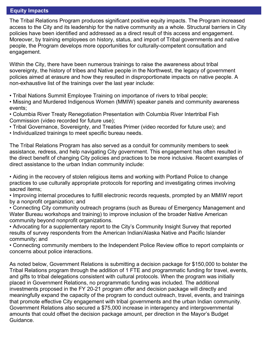#### **Equity Impacts**

The Tribal Relations Program produces significant positive equity impacts. The Program increased access to the City and its leadership for the native community as a whole. Structural barriers in City policies have been identified and addressed as a direct result of this access and engagement. Moreover, by training employees on history, status, and import of Tribal governments and native people, the Program develops more opportunities for culturally-competent consultation and engagement.

Within the City, there have been numerous trainings to raise the awareness about tribal sovereignty, the history of tribes and Native people in the Northwest, the legacy of government policies aimed at erasure and how they resulted in disproportionate impacts on native people. A non-exhaustive list of the trainings over the last year include:

• Tribal Nations Summit Employee Training on importance of rivers to tribal people;

• Missing and Murdered Indigenous Women (MMIW) speaker panels and community awareness events;

- Columbia River Treaty Renegotiation Presentation with Columbia River Intertribal Fish Commission (video recorded for future use);
- Tribal Governance, Sovereignty, and Treaties Primer (video recorded for future use); and
- Individualized trainings to meet specific bureau needs.

The Tribal Relations Program has also served as a conduit for community members to seek assistance, redress, and help navigating City government. This engagement has often resulted in the direct benefit of changing City policies and practices to be more inclusive. Recent examples of direct assistance to the urban Indian community include:

• Aiding in the recovery of stolen religious items and working with Portland Police to change practices to use culturally appropriate protocols for reporting and investigating crimes involving sacred items;

• Improving internal procedures to fulfill electronic records requests, prompted by an MMIW report by a nonprofit organization; and

• Connecting City community outreach programs (such as Bureau of Emergency Management and Water Bureau workshops and training) to improve inclusion of the broader Native American community beyond nonprofit organizations.

• Advocating for a supplementary report to the City's Community Insight Survey that reported results of survey respondents from the American Indian/Alaska Native and Pacific Islander community; and

• Connecting community members to the Independent Police Review office to report complaints or concerns about police interactions.

As noted below, Government Relations is submitting a decision package for \$150,000 to bolster the Tribal Relations program through the addition of 1 FTE and programmatic funding for travel, events, and gifts to tribal delegations consistent with cultural protocols. When the program was initially placed in Government Relations, no programmatic funding was included. The additional investments proposed in the FY 20-21 program offer and decision package will directly and meaningfully expand the capacity of the program to conduct outreach, travel, events, and trainings that promote effective City engagement with tribal governments and the urban Indian community. Government Relations also secured a \$75,000 increase in interagency and intergovernmental amounts that could offset the decision package amount, per direction in the Mayor's Budget Guidance.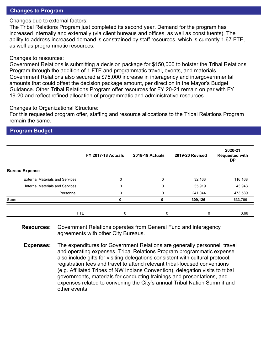#### **Changes to Program**

Changes due to external factors:

The Tribal Relations Program just completed its second year. Demand for the program has increased internally and externally (via client bureaus and offices, as well as constituents). The ability to address increased demand is constrained by staff resources, which is currently 1.67 FTE, as well as programmatic resources.

#### Changes to resources:

Government Relations is submitting a decision package for \$150,000 to bolster the Tribal Relations Program through the addition of 1 FTE and programmatic travel, events, and materials. Government Relations also secured a \$75,000 increase in interagency and intergovernmental amounts that could offset the decision package amount, per direction in the Mayor's Budget Guidance. Other Tribal Relations Program offer resources for FY 20-21 remain on par with FY 19-20 and reflect refined allocation of programmatic and administrative resources.

#### Changes to Organizational Structure:

For this requested program offer, staffing and resource allocations to the Tribal Relations Program remain the same.

|                                        | <b>FY 2017-18 Actuals</b> | <b>2018-19 Actuals</b> | <b>2019-20 Revised</b> | 2020-21<br><b>Requested with</b><br><b>DP</b> |
|----------------------------------------|---------------------------|------------------------|------------------------|-----------------------------------------------|
| <b>Bureau Expense</b>                  |                           |                        |                        |                                               |
| <b>External Materials and Services</b> | 0                         |                        | 32,163                 | 116,168                                       |
| Internal Materials and Services        | 0                         | 0                      | 35,919                 | 43,943                                        |
| Personnel                              | 0                         | 0                      | 241,044                | 473,589                                       |
| Sum:                                   | 0                         | ŋ                      | 309,126                | 633,700                                       |
|                                        | <b>FTE</b><br>$\Omega$    | 0                      |                        | 3.66                                          |

#### **Program Budget**

- **Resources:** Government Relations operates from General Fund and interagency agreements with other City Bureaus.
	- **Expenses:** The expenditures for Government Relations are generally personnel, travel and operating expenses. Tribal Relations Program programmatic expense also include gifts for visiting delegations consistent with cultural protocol, registration fees and travel to attend relevant tribal-focused conventions (e.g. Affiliated Tribes of NW Indians Convention), delegation visits to tribal governments, materials for conducting trainings and presentations, and expenses related to convening the City's annual Tribal Nation Summit and other events.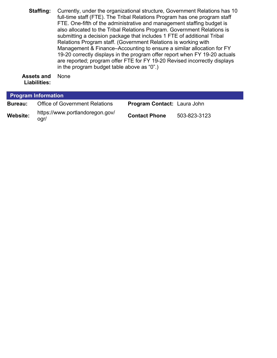**Staffing:** Currently, under the organizational structure, Government Relations has 10 full-time staff (FTE). The Tribal Relations Program has one program staff FTE. One-fifth of the administrative and management staffing budget is also allocated to the Tribal Relations Program. Government Relations is submitting a decision package that includes 1 FTE of additional Tribal Relations Program staff. (Government Relations is working with Management & Finance–Accounting to ensure a similar allocation for FY 19-20 correctly displays in the program offer report when FY 19-20 actuals are reported; program offer FTE for FY 19-20 Revised incorrectly displays in the program budget table above as "0".)

**Assets and Liabilities:** None

| <b>Program Information</b> |                                         |                                    |              |  |  |  |  |
|----------------------------|-----------------------------------------|------------------------------------|--------------|--|--|--|--|
| <b>Bureau:</b>             | <b>Office of Government Relations</b>   | <b>Program Contact:</b> Laura John |              |  |  |  |  |
| <b>Website:</b>            | https://www.portlandoregon.gov/<br>oar/ | <b>Contact Phone</b>               | 503-823-3123 |  |  |  |  |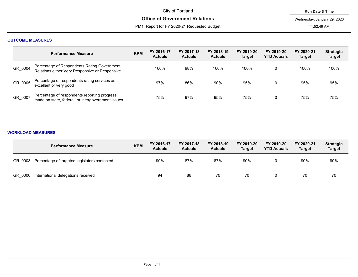#### **Office of Government Relations Constanting Constanting Constanting Constanting Constanting Constanting Constanting Constanting Constanting Constanting Constanting Constanting Constanting Constanting Constanting Constant**

PM1. Report for FY 2020-21 Requested Budget 11:52:49 AM

#### **OUTCOME MEASURES**

|         | <b>Performance Measure</b>                                                                        | <b>KPM</b> | FY 2016-17<br><b>Actuals</b> | FY 2017-18<br><b>Actuals</b> | FY 2018-19<br><b>Actuals</b> | FY 2019-20<br><b>Target</b> | FY 2019-20<br><b>YTD Actuals</b> | FY 2020-21<br><b>Target</b> | <b>Strategic</b><br><b>Target</b> |
|---------|---------------------------------------------------------------------------------------------------|------------|------------------------------|------------------------------|------------------------------|-----------------------------|----------------------------------|-----------------------------|-----------------------------------|
| GR_0004 | Percentage of Respondents Rating Government<br>Relations either Very Responsive or Responsive     |            | 100%                         | 98%                          | 100%                         | 100%                        |                                  | 100%                        | 100%                              |
| GR_0005 | Percentage of respondents rating services as<br>excellent or very good                            |            | 97%                          | 86%                          | 90%                          | 95%                         | 0                                | 95%                         | 95%                               |
| GR_0007 | Percentage of respondents reporting progress<br>made on state, federal, or intergovernment issues |            | 75%                          | 97%                          | 95%                          | 75%                         |                                  | 75%                         | 75%                               |

#### **WORKLOAD MEASURES**

|         | <b>Performance Measure</b>                   | <b>KPM</b> | FY 2016-17<br><b>Actuals</b> | FY 2017-18<br><b>Actuals</b> | FY 2018-19<br><b>Actuals</b> | FY 2019-20<br><b>Target</b> | FY 2019-20<br><b>YTD Actuals</b> | FY 2020-21<br><b>Target</b> | <b>Strategic</b><br><b>Target</b> |
|---------|----------------------------------------------|------------|------------------------------|------------------------------|------------------------------|-----------------------------|----------------------------------|-----------------------------|-----------------------------------|
| GR 0003 | Percentage of targeted legislators contacted |            | 90%                          | 87%                          | 87%                          | 90%                         |                                  | 90%                         | 90%                               |
| GR 0006 | International delegations received           |            | 94                           | 86                           | 70                           | 70                          |                                  | 70                          | 70                                |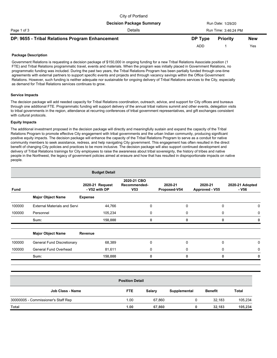|                                                 | <b>UILLY UL FULLIQUIU</b><br><b>Decision Package Summary</b> | Run Date: 1/29/20 |                      |            |  |
|-------------------------------------------------|--------------------------------------------------------------|-------------------|----------------------|------------|--|
| Page 1 of 3                                     | Details                                                      |                   | Run Time: 3:46:24 PM |            |  |
| DP: 9655 - Tribal Relations Program Enhancement |                                                              | DP Type           | <b>Priority</b>      | <b>New</b> |  |
|                                                 |                                                              | ADD               |                      | Yes        |  |

City of Portland

#### **Package Description**

Government Relations is requesting a decision package of \$150,000 in ongoing funding for a new Tribal Relations Associate position (1 FTE) and Tribal Relations programmatic travel, events and materials. When the program was initially placed in Government Relations, no programmatic funding was included. During the past two years, the Tribal Relations Program has been partially funded through one-time agreements with external partners to support specific events and projects and through vacancy savings within the Office Government Relations. However, such funding is neither adequate nor sustainable for ongoing delivery of Tribal Relations services to the City, especially as demand for Tribal Relations services continues to grow.

#### **Service Impacts**

The decision package will add needed capacity for Tribal Relations coordination, outreach, advice, and support for City offices and bureaus through one additional FTE. Programmatic funding will support delivery of the annual tribal nations summit and other events, delegation visits to tribal governments in the region, attendance at recurring conferences of tribal government representatives, and gift exchanges consistent with cultural protocols.

#### **Equity Impacts**

The additional investment proposed in the decision package will directly and meaningfully sustain and expand the capacity of the Tribal Relations Program to promote effective City engagement with tribal governments and the urban Indian community, producing significant positive equity impacts. The decision package will enhance the capacity of the Tribal Relations Program to serve as a conduit for native community members to seek assistance, redress, and help navigating City government. This engagement has often resulted in the direct benefit of changing City policies and practices to be more inclusive. The decision package will also support continued development and delivery of Tribal Relations trainings for City employees to raise the awareness about tribal sovereignty, the history of tribes and native people in the Northwest, the legacy of government policies aimed at erasure and how that has resulted in disproportionate impacts on native people.

|             |                                     |                                  | 2020-21 CBO                     |                         |                           |                          |
|-------------|-------------------------------------|----------------------------------|---------------------------------|-------------------------|---------------------------|--------------------------|
| <b>Fund</b> |                                     | 2020-21 Request<br>- V52 with DP | Recommended-<br>V <sub>53</sub> | 2020-21<br>Proposed-V54 | 2020-21<br>Approved - V55 | 2020-21 Adopted<br>- V56 |
|             | <b>Major Object Name</b>            | <b>Expense</b>                   |                                 |                         |                           |                          |
| 100000      | <b>External Materials and Servi</b> | 44,766                           | 0                               | $\mathbf 0$             | 0                         | 0                        |
| 100000      | Personnel                           | 105,234                          | 0                               | 0                       | 0                         | 0                        |
|             | Sum:                                | 150,000                          | 0                               | $\mathbf{0}$            | $\mathbf{0}$              | 0                        |
|             | <b>Major Object Name</b>            | Revenue                          |                                 |                         |                           |                          |
| 100000      | <b>General Fund Discretionary</b>   | 68,389                           | 0                               | $\Omega$                | $\Omega$                  | 0                        |
| 100000      | General Fund Overhead               | 81,611                           | 0                               | 0                       | 0                         | 0                        |
|             | Sum:                                | 150,000                          | 0                               | 0                       | 0                         | 0                        |

| <b>Position Detail</b>              |            |        |              |                |         |  |  |
|-------------------------------------|------------|--------|--------------|----------------|---------|--|--|
| Job Class - Name                    | <b>FTE</b> | Salary | Supplemental | <b>Benefit</b> | Total   |  |  |
| 30000005 - Commissioner's Staff Rep | 1.00       | 67.860 |              | 32.183         | 105,234 |  |  |
| <b>Total</b>                        | 1.00       | 67,860 |              | 32,183         | 105,234 |  |  |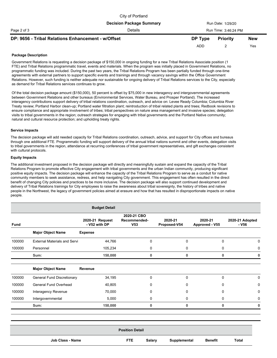|                                                    | City of Portland                |                      |                 |            |
|----------------------------------------------------|---------------------------------|----------------------|-----------------|------------|
|                                                    | <b>Decision Package Summary</b> | Run Date: 1/29/20    |                 |            |
| Page 2 of 3                                        | <b>Details</b>                  | Run Time: 3:46:24 PM |                 |            |
| DP: 9656 - Tribal Relations Enhancement - w/Offset |                                 | DP Type              | <b>Priority</b> | <b>New</b> |
|                                                    |                                 | <b>ADD</b>           |                 | Yes        |

#### **Package Description**

Government Relations is requesting a decision package of \$150,000 in ongoing funding for a new Tribal Relations Associate position (1 FTE) and Tribal Relations programmatic travel, events and materials. When the program was initially placed in Government Relations, no programmatic funding was included. During the past two years, the Tribal Relations Program has been partially funded through one-time agreements with external partners to support specific events and trainings and through vacancy savings within the Office Government Relations. However, such funding is neither adequate nor sustainable for ongoing delivery of Tribal Relations services to the City, especially as demand for Tribal Relations services continues to grow.

Of the total decision package amount (\$150,000), 50 percent is offset by \$75,000 in new interagency and intergovernmental agreements between Government Relations and other bureaus (Environmental Services, Water Bureau, and Prosper Portland). The increased interagency contributions support delivery of tribal relations coordination, outreach, and advice on: Levee Ready Columbia; Columbia River Treaty review; Portland Harbor clean-up; Portland water filtration plant; reintroduction of tribal related plants and trees; Redbook revisions to ensure compliance and appropriate involvement of tribes; tribal perspectives on nature area management and invasive species; delegation visits to tribal governments in the region; outreach strategies for engaging with tribal governments and the Portland Native community; natural and cultural resource protection; and upholding treaty rights.

#### **Service Impacts**

The decision package will add needed capacity for Tribal Relations coordination, outreach, advice, and support for City offices and bureaus through one additional FTE. Programmatic funding will support delivery of the annual tribal nations summit and other events, delegation visits to tribal governments in the region, attendance at recurring conferences of tribal government representatives, and gift exchanges consistent with cultural protocols.

#### **Equity Impacts**

The additional investment proposed in the decision package will directly and meaningfully sustain and expand the capacity of the Tribal Relations Program to promote effective City engagement with tribal governments and the urban Indian community, producing significant positive equity impacts. The decision package will enhance the capacity of the Tribal Relations Program to serve as a conduit for native community members to seek assistance, redress, and help navigating City government. This engagement has often resulted in the direct benefit of changing City policies and practices to be more inclusive. The decision package will also support continued development and delivery of Tribal Relations trainings for City employees to raise the awareness about tribal sovereignty, the history of tribes and native people in the Northwest, the legacy of government policies aimed at erasure and how that has resulted in disproportionate impacts on native people.

|        |                                     | <b>Budget Detail</b>             |                                                |                         |                           |                          |  |
|--------|-------------------------------------|----------------------------------|------------------------------------------------|-------------------------|---------------------------|--------------------------|--|
| Fund   |                                     | 2020-21 Request<br>- V52 with DP | 2020-21 CBO<br>Recommended-<br>V <sub>53</sub> | 2020-21<br>Proposed-V54 | 2020-21<br>Approved - V55 | 2020-21 Adopted<br>- V56 |  |
|        | <b>Major Object Name</b>            | <b>Expense</b>                   |                                                |                         |                           |                          |  |
| 100000 | <b>External Materials and Servi</b> | 44,766                           | 0                                              | 0                       | 0                         | 0                        |  |
| 100000 | Personnel                           | 105,234                          | 0                                              | 0                       | 0                         | 0                        |  |
|        | Sum:                                | 150,000                          | 0                                              | 0                       | 0                         | 0                        |  |
|        | <b>Major Object Name</b>            | Revenue                          |                                                |                         |                           |                          |  |
| 100000 | General Fund Discretionary          | 34,195                           | $\Omega$                                       | $\Omega$                | $\Omega$                  | 0                        |  |
| 100000 | General Fund Overhead               | 40,805                           | 0                                              | 0                       | 0                         | 0                        |  |
| 100000 | Interagency Revenue                 | 70,000                           | 0                                              | <sup>0</sup>            | 0                         | 0                        |  |
| 100000 | Intergovernmental                   | 5,000                            | 0                                              | 0                       | 0                         | 0                        |  |
|        | Sum:                                | 150,000                          | 0                                              | 0                       | 0                         | 0                        |  |

| <b>Position Detail</b> |            |        |              |                |       |  |
|------------------------|------------|--------|--------------|----------------|-------|--|
| Job Class - Name       | <b>FTE</b> | Salary | Supplemental | <b>Benefit</b> | Total |  |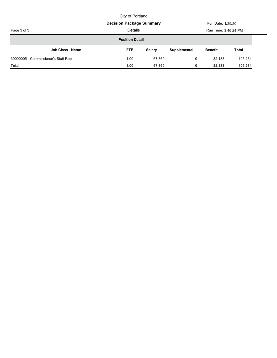|                                     | City of Portland       |                   |              |                      |              |
|-------------------------------------|------------------------|-------------------|--------------|----------------------|--------------|
|                                     |                        | Run Date: 1/29/20 |              |                      |              |
| Page 3 of 3                         | <b>Details</b>         |                   |              | Run Time: 3:46:24 PM |              |
|                                     | <b>Position Detail</b> |                   |              |                      |              |
| Job Class - Name                    | <b>FTE</b>             | Salary            | Supplemental | <b>Benefit</b>       | <b>Total</b> |
| 30000005 - Commissioner's Staff Rep | 1.00                   | 67,860            | 0            | 32,183               | 105,234      |
| Total                               | 1.00                   | 67,860            | 0            | 32,183               | 105,234      |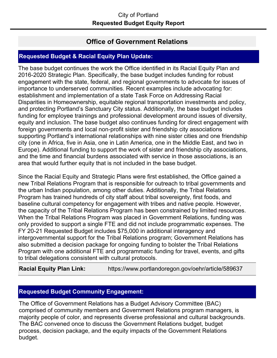# **Office of Government Relations**

# **Requested Budget & Racial Equity Plan Update:**

The base budget continues the work the Office identified in its Racial Equity Plan and 2016-2020 Strategic Plan. Specifically, the base budget includes funding for robust engagement with the state, federal, and regional governments to advocate for issues of importance to underserved communities. Recent examples include advocating for: establishment and implementation of a state Task Force on Addressing Racial Disparities in Homeownership, equitable regional transportation investments and policy, and protecting Portland's Sanctuary City status. Additionally, the base budget includes funding for employee trainings and professional development around issues of diversity, equity and inclusion. The base budget also continues funding for direct engagement with foreign governments and local non-profit sister and friendship city associations supporting Portland's international relationships with nine sister cities and one friendship city (one in Africa, five in Asia, one in Latin America, one in the Middle East, and two in Europe). Additional funding to support the work of sister and friendship city associations, and the time and financial burdens associated with service in those associations, is an area that would further equity that is not included in the base budget.

Since the Racial Equity and Strategic Plans were first established, the Office gained a new Tribal Relations Program that is responsible for outreach to tribal governments and the urban Indian population, among other duties. Additionally, the Tribal Relations Program has trained hundreds of city staff about tribal sovereignty, first foods, and baseline cultural competency for engagement with tribes and native people. However, the capacity of the Tribal Relations Program has been constrained by limited resources. When the Tribal Relations Program was placed in Government Relations, funding was only provided to support a single FTE and did not include programmatic expenses. The FY 20-21 Requested Budget includes \$75,000 in additional interagency and intergovernmental support for the Tribal Relations program; Government Relations has also submitted a decision package for ongoing funding to bolster the Tribal Relations Program with one additional FTE and programmatic funding for travel, events, and gifts to tribal delegations consistent with cultural protocols.

**Racial Equity Plan Link:** https://www.portlandoregon.gov/oehr/article/589637

# **Requested Budget Community Engagement:**

The Office of Government Relations has a Budget Advisory Committee (BAC) comprised of community members and Government Relations program managers, is majority people of color, and represents diverse professional and cultural backgrounds. The BAC convened once to discuss the Government Relations budget, budget process, decision package, and the equity impacts of the Government Relations budget.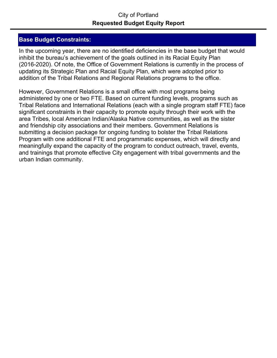### **Base Budget Constraints:**

In the upcoming year, there are no identified deficiencies in the base budget that would inhibit the bureau's achievement of the goals outlined in its Racial Equity Plan (2016-2020). Of note, the Office of Government Relations is currently in the process of updating its Strategic Plan and Racial Equity Plan, which were adopted prior to addition of the Tribal Relations and Regional Relations programs to the office.

However, Government Relations is a small office with most programs being administered by one or two FTE. Based on current funding levels, programs such as Tribal Relations and International Relations (each with a single program staff FTE) face significant constraints in their capacity to promote equity through their work with the area Tribes, local American Indian/Alaska Native communities, as well as the sister and friendship city associations and their members. Government Relations is submitting a decision package for ongoing funding to bolster the Tribal Relations Program with one additional FTE and programmatic expenses, which will directly and meaningfully expand the capacity of the program to conduct outreach, travel, events, and trainings that promote effective City engagement with tribal governments and the urban Indian community.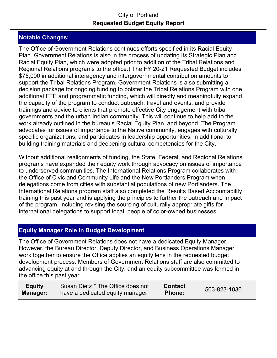# **Notable Changes:**

The Office of Government Relations continues efforts specified in its Racial Equity Plan. Government Relations is also in the process of updating its Strategic Plan and Racial Equity Plan, which were adopted prior to addition of the Tribal Relations and Regional Relations programs to the office.) The FY 20-21 Requested Budget includes \$75,000 in additional interagency and intergovernmental contribution amounts to support the Tribal Relations Program. Government Relations is also submitting a decision package for ongoing funding to bolster the Tribal Relations Program with one additional FTE and programmatic funding, which will directly and meaningfully expand the capacity of the program to conduct outreach, travel and events, and provide trainings and advice to clients that promote effective City engagement with tribal governments and the urban Indian community. This will continue to help add to the work already outlined in the bureau's Racial Equity Plan, and beyond. The Program advocates for issues of importance to the Native community, engages with culturally specific organizations, and participates in leadership opportunities, in additional to building training materials and deepening cultural competencies for the City.

Without additional realignments of funding, the State, Federal, and Regional Relations programs have expanded their equity work through advocacy on issues of importance to underserved communities. The International Relations Program collaborates with the Office of Civic and Community Life and the New Portlanders Program when delegations come from cities with substantial populations of new Portlanders. The International Relations program staff also completed the Results Based Accountability training this past year and is applying the principles to further the outreach and impact of the program, including revising the sourcing of culturally appropriate gifts for international delegations to support local, people of color-owned businesses.

# **Equity Manager Role in Budget Development**

The Office of Government Relations does not have a dedicated Equity Manager. However, the Bureau Director, Deputy Director, and Business Operations Manager work together to ensure the Office applies an equity lens in the requested budget development process. Members of Government Relations staff are also committed to advancing equity at and through the City, and an equity subcommittee was formed in the office this past year.

| <b>Equity</b> | Susan Dietz * The Office does not | <b>Contact</b> | 503-823-1036 |
|---------------|-----------------------------------|----------------|--------------|
| Manager:      | have a dedicated equity manager.  | <b>Phone:</b>  |              |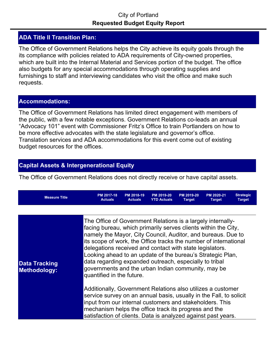# **ADA Title II Transition Plan:**

The Office of Government Relations helps the City achieve its equity goals through the its compliance with policies related to ADA requirements of City-owned properties, which are built into the Internal Material and Services portion of the budget. The office also budgets for any special accommodations through operating supplies and furnishings to staff and interviewing candidates who visit the office and make such requests.

## **Accommodations:**

The Office of Government Relations has limited direct engagement with members of the public, with a few notable exceptions. Government Relations co-leads an annual "Advocacy 101" event with Commissioner Fritz's Office to train Portlanders on how to be more effective advocates with the state legislature and governor's office. Translation services and ADA accommodations for this event come out of existing budget resources for the offices.

# **Capital Assets & Intergenerational Equity**

The Office of Government Relations does not directly receive or have capital assets.

| <b>Measure Title</b>                        | PM 2017-18<br><b>Actuals</b>                                                                                                                                                                                                                                                                                            | PM 2018-19<br><b>Actuals</b> | PM 2019-20<br><b>YTD Actuals</b>                                                                                                                                                                                                                                                                                                                                                                                                                                                                            | PM 2019-20<br><b>Target</b> | PM 2020-21<br><b>Target</b> | <b>Strategic</b><br><b>Target</b> |  |
|---------------------------------------------|-------------------------------------------------------------------------------------------------------------------------------------------------------------------------------------------------------------------------------------------------------------------------------------------------------------------------|------------------------------|-------------------------------------------------------------------------------------------------------------------------------------------------------------------------------------------------------------------------------------------------------------------------------------------------------------------------------------------------------------------------------------------------------------------------------------------------------------------------------------------------------------|-----------------------------|-----------------------------|-----------------------------------|--|
|                                             |                                                                                                                                                                                                                                                                                                                         |                              |                                                                                                                                                                                                                                                                                                                                                                                                                                                                                                             |                             |                             |                                   |  |
| <b>Data Tracking</b><br><b>Methodology:</b> | quantified in the future.                                                                                                                                                                                                                                                                                               |                              | The Office of Government Relations is a largely internally-<br>facing bureau, which primarily serves clients within the City,<br>namely the Mayor, City Council, Auditor, and bureaus. Due to<br>its scope of work, the Office tracks the number of international<br>delegations received and contact with state legislators.<br>Looking ahead to an update of the bureau's Strategic Plan,<br>data regarding expanded outreach, especially to tribal<br>governments and the urban Indian community, may be |                             |                             |                                   |  |
|                                             | Additionally, Government Relations also utilizes a customer<br>service survey on an annual basis, usually in the Fall, to solicit<br>input from our internal customers and stakeholders. This<br>mechanism helps the office track its progress and the<br>satisfaction of clients. Data is analyzed against past years. |                              |                                                                                                                                                                                                                                                                                                                                                                                                                                                                                                             |                             |                             |                                   |  |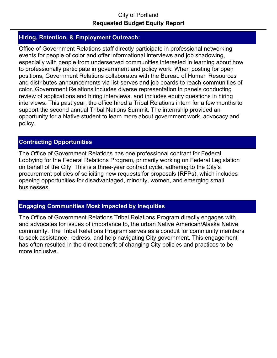# **Hiring, Retention, & Employment Outreach:**

Office of Government Relations staff directly participate in professional networking events for people of color and offer informational interviews and job shadowing, especially with people from underserved communities interested in learning about how to professionally participate in government and policy work. When posting for open positions, Government Relations collaborates with the Bureau of Human Resources and distributes announcements via list-serves and job boards to reach communities of color. Government Relations includes diverse representation in panels conducting review of applications and hiring interviews, and includes equity questions in hiring interviews. This past year, the office hired a Tribal Relations intern for a few months to support the second annual Tribal Nations Summit. The internship provided an opportunity for a Native student to learn more about government work, advocacy and policy.

# **Contracting Opportunities**

The Office of Government Relations has one professional contract for Federal Lobbying for the Federal Relations Program, primarily working on Federal Legislation on behalf of the City. This is a three-year contract cycle, adhering to the City's procurement policies of soliciting new requests for proposals (RFPs), which includes opening opportunities for disadvantaged, minority, women, and emerging small businesses.

# **Engaging Communities Most Impacted by Inequities**

The Office of Government Relations Tribal Relations Program directly engages with, and advocates for issues of importance to, the urban Native American/Alaska Native community. The Tribal Relations Program serves as a conduit for community members to seek assistance, redress, and help navigating City government. This engagement has often resulted in the direct benefit of changing City policies and practices to be more inclusive.